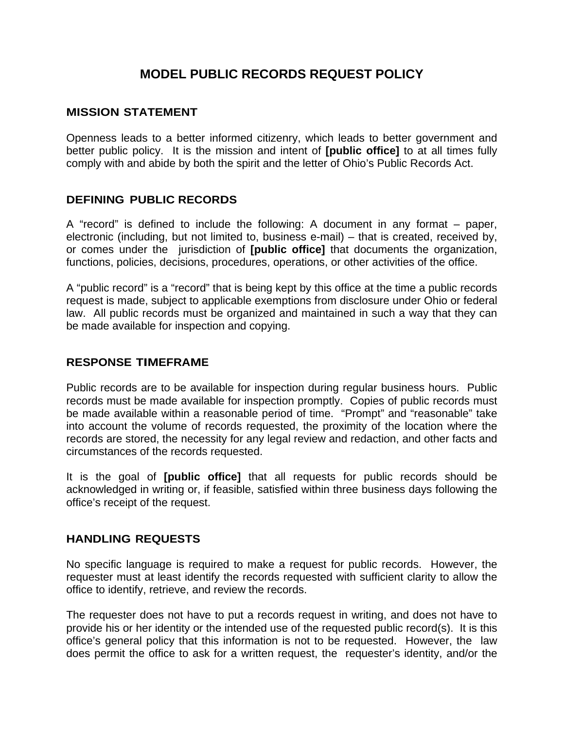# **MODEL PUBLIC RECORDS REQUEST POLICY**

#### **MISSION STATEMENT**

Openness leads to a better informed citizenry, which leads to better government and better public policy. It is the mission and intent of **[public office]** to at all times fully comply with and abide by both the spirit and the letter of Ohio's Public Records Act.

#### **DEFINING PUBLIC RECORDS**

A "record" is defined to include the following: A document in any format – paper, electronic (including, but not limited to, business e-mail) – that is created, received by, or comes under the jurisdiction of **[public office]** that documents the organization, functions, policies, decisions, procedures, operations, or other activities of the office.

A "public record" is a "record" that is being kept by this office at the time a public records request is made, subject to applicable exemptions from disclosure under Ohio or federal law. All public records must be organized and maintained in such a way that they can be made available for inspection and copying.

#### **RESPONSE TIMEFRAME**

Public records are to be available for inspection during regular business hours. Public records must be made available for inspection promptly. Copies of public records must be made available within a reasonable period of time. "Prompt" and "reasonable" take into account the volume of records requested, the proximity of the location where the records are stored, the necessity for any legal review and redaction, and other facts and circumstances of the records requested.

It is the goal of **[public office]** that all requests for public records should be acknowledged in writing or, if feasible, satisfied within three business days following the office's receipt of the request.

#### **HANDLING REQUESTS**

No specific language is required to make a request for public records. However, the requester must at least identify the records requested with sufficient clarity to allow the office to identify, retrieve, and review the records.

The requester does not have to put a records request in writing, and does not have to provide his or her identity or the intended use of the requested public record(s). It is this office's general policy that this information is not to be requested. However, the law does permit the office to ask for a written request, the requester's identity, and/or the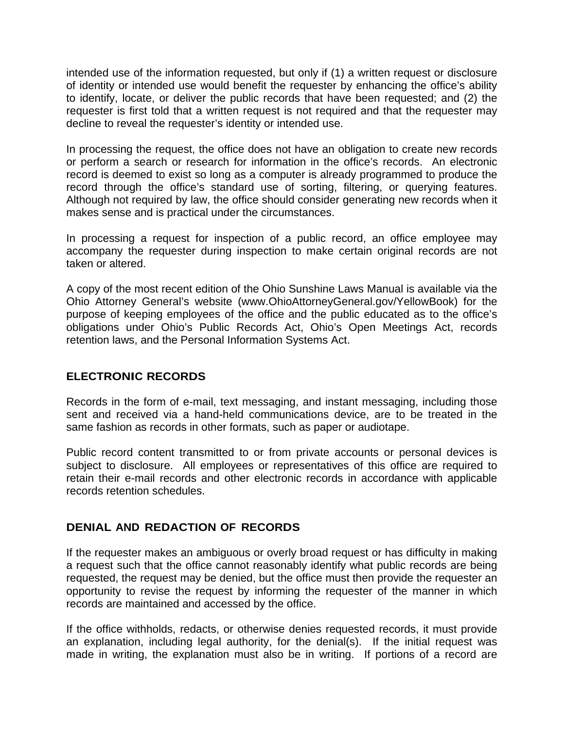intended use of the information requested, but only if (1) a written request or disclosure of identity or intended use would benefit the requester by enhancing the office's ability to identify, locate, or deliver the public records that have been requested; and (2) the requester is first told that a written request is not required and that the requester may decline to reveal the requester's identity or intended use.

In processing the request, the office does not have an obligation to create new records or perform a search or research for information in the office's records. An electronic record is deemed to exist so long as a computer is already programmed to produce the record through the office's standard use of sorting, filtering, or querying features. Although not required by law, the office should consider generating new records when it makes sense and is practical under the circumstances.

In processing a request for inspection of a public record, an office employee may accompany the requester during inspection to make certain original records are not taken or altered.

A copy of the most recent edition of the Ohio Sunshine Laws Manual is available via the Ohio Attorney General's website (www.OhioAttorneyGeneral.gov/YellowBook) for the purpose of keeping employees of the office and the public educated as to the office's obligations under Ohio's Public Records Act, Ohio's Open Meetings Act, records retention laws, and the Personal Information Systems Act.

## **ELECTRONIC RECORDS**

Records in the form of e-mail, text messaging, and instant messaging, including those sent and received via a hand-held communications device, are to be treated in the same fashion as records in other formats, such as paper or audiotape.

Public record content transmitted to or from private accounts or personal devices is subject to disclosure. All employees or representatives of this office are required to retain their e-mail records and other electronic records in accordance with applicable records retention schedules.

## **DENIAL AND REDACTION OF RECORDS**

If the requester makes an ambiguous or overly broad request or has difficulty in making a request such that the office cannot reasonably identify what public records are being requested, the request may be denied, but the office must then provide the requester an opportunity to revise the request by informing the requester of the manner in which records are maintained and accessed by the office.

If the office withholds, redacts, or otherwise denies requested records, it must provide an explanation, including legal authority, for the denial(s). If the initial request was made in writing, the explanation must also be in writing. If portions of a record are